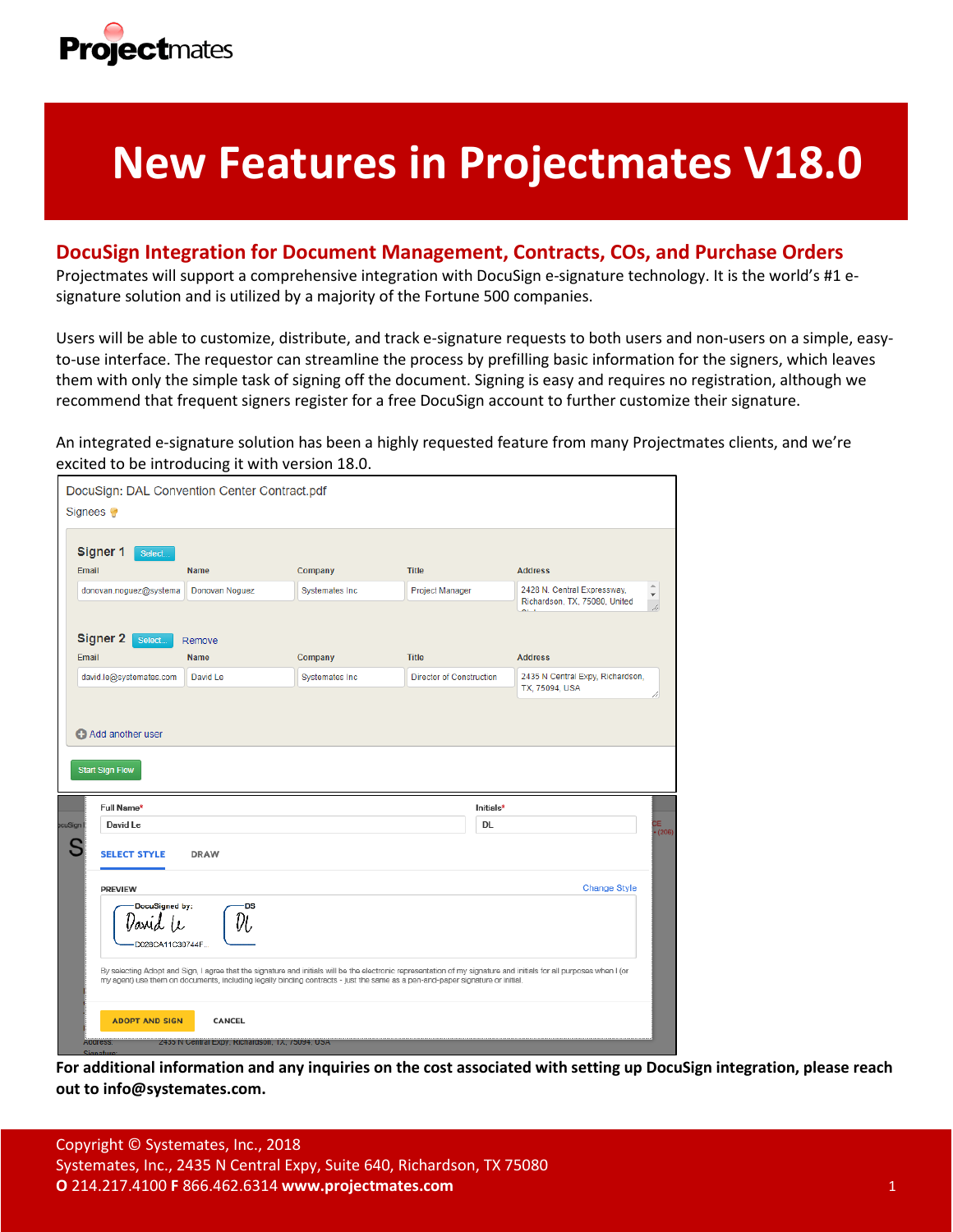

# **New Features in Projectmates V18.0**

# **DocuSign Integration for Document Management, Contracts, COs, and Purchase Orders**

Projectmates will support a comprehensive integration with DocuSign e-signature technology. It is the world's #1 esignature solution and is utilized by a majority of the Fortune 500 companies.

Users will be able to customize, distribute, and track e-signature requests to both users and non-users on a simple, easyto-use interface. The requestor can streamline the process by prefilling basic information for the signers, which leaves them with only the simple task of signing off the document. Signing is easy and requires no registration, although we recommend that frequent signers register for a free DocuSign account to further customize their signature.

An integrated e-signature solution has been a highly requested feature from many Projectmates clients, and we're excited to be introducing it with version 18.0.

| Signer 1<br>Select<br>Email                | <b>Name</b>                                            | Company                | <b>Title</b>                    | <b>Address</b>                                                      |
|--------------------------------------------|--------------------------------------------------------|------------------------|---------------------------------|---------------------------------------------------------------------|
| donovan.noguez@systema                     | Donovan Noguez                                         | <b>Systemates Inc.</b> | Project Manager                 | 2428 N. Central Expressway,<br>Richardson, TX, 75080, United<br>سيم |
| <b>Signer 2</b><br>Select                  | Remove                                                 |                        |                                 |                                                                     |
| Email                                      | <b>Name</b>                                            | Company                | <b>Title</b>                    | <b>Address</b>                                                      |
| david.le@systemates.com                    | David Le                                               | <b>Systemates Inc</b>  | <b>Director of Construction</b> | 2435 N Central Expy, Richardson,<br>TX, 75094, USA                  |
| Add another user<br><b>Start Sign Flow</b> |                                                        |                        |                                 |                                                                     |
| Full Name*<br>David Le                     |                                                        |                        | Initials*<br><b>DL</b>          |                                                                     |
| <b>SELECT STYLE</b>                        | <b>DRAW</b>                                            |                        |                                 |                                                                     |
| <b>PREVIEW</b>                             |                                                        |                        |                                 | <b>Change Style</b>                                                 |
| cuSign<br>lavid (c                         | DocuSigned by:<br><b>DS</b><br>Vı,<br>D028CA11C30744F. |                        |                                 |                                                                     |

**For additional information and any inquiries on the cost associated with setting up DocuSign integration, please reach out to info@systemates.com.**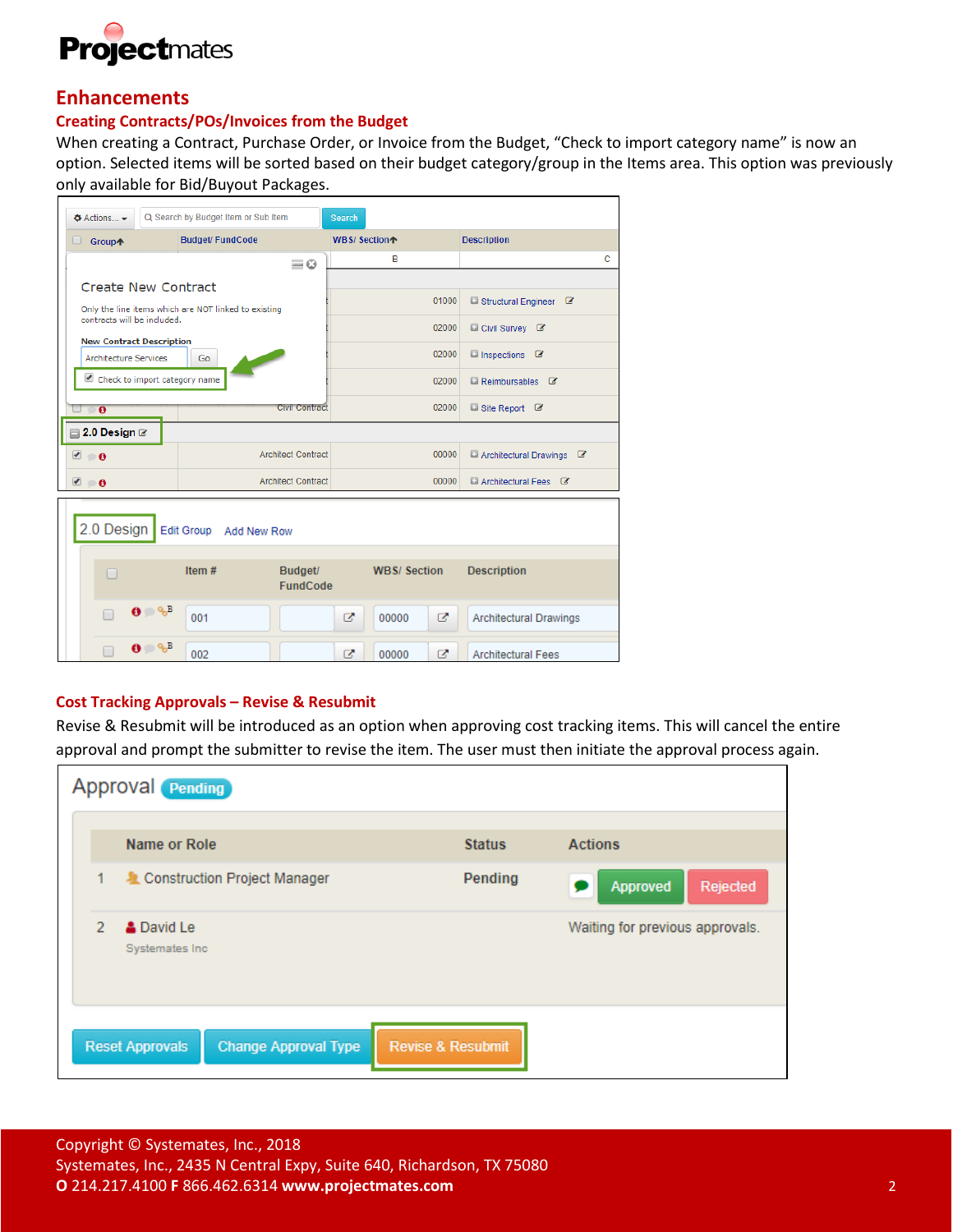

# **Enhancements**

# **Creating Contracts/POs/Invoices from the Budget**

When creating a Contract, Purchase Order, or Invoice from the Budget, "Check to import category name" is now an option. Selected items will be sorted based on their budget category/group in the Items area. This option was previously only available for Bid/Buyout Packages.

| $\triangle$ Actions $\blacktriangleright$ | Q Search by Budget Item or Sub Item                  |                            | <b>Search</b>            |                    |                                  |   |
|-------------------------------------------|------------------------------------------------------|----------------------------|--------------------------|--------------------|----------------------------------|---|
| <b>Group个</b><br>0                        | <b>Budget/FundCode</b>                               |                            | WBS/Section <sup>*</sup> |                    | <b>Description</b>               |   |
|                                           |                                                      | $\equiv$ $\odot$           |                          | в                  |                                  | c |
|                                           | Create New Contract                                  |                            |                          |                    |                                  |   |
|                                           | Only the line items which are NOT linked to existing |                            |                          | 01000              | Structural Engineer &            |   |
| contracts will be included.               |                                                      |                            |                          | 02000              | Civil Survey &                   |   |
|                                           | <b>New Contract Description</b>                      |                            |                          | 02000              | □ Inspections ■                  |   |
|                                           | <b>Architecture Services</b><br>Go                   |                            |                          |                    |                                  |   |
|                                           | Check to import category name                        |                            |                          | 02000              | <b>El Reimbursables <i>C</i></b> |   |
| $\bullet$                                 |                                                      | Civil Contract             |                          | 02000              | ■ Site Report ■                  |   |
| $\Box$ 2.0 Design $\Box$                  |                                                      |                            |                          |                    |                                  |   |
| $\bullet$ 0                               |                                                      | <b>Architect Contract</b>  |                          | 00000              | Architectural Drawings &         |   |
| ᢦ<br>$\bullet$                            |                                                      | <b>Architect Contract</b>  |                          | 00000              | <b>El Architectural Fees</b> &   |   |
| 2.0 Design                                | Edit Group Add New Row                               |                            |                          |                    |                                  |   |
| -                                         | Item#                                                | Budget/<br><b>FundCode</b> |                          | <b>WBS/Section</b> | <b>Description</b>               |   |
|                                           | $\mathbf{0} \oplus \mathscr{E}^{\mathbb{B}}$<br>001  |                            | ø                        | 00000<br>ø         | <b>Architectural Drawings</b>    |   |
|                                           | $\mathbf{0} \oplus \mathcal{C}^{\mathrm{B}}$<br>002  |                            | Ø                        | z<br>00000         | <b>Architectural Fees</b>        |   |

# **Cost Tracking Approvals – Revise & Resubmit**

Revise & Resubmit will be introduced as an option when approving cost tracking items. This will cancel the entire approval and prompt the submitter to revise the item. The user must then initiate the approval process again.

|               | <b>Approval Pending</b>                               |                              |                                 |
|---------------|-------------------------------------------------------|------------------------------|---------------------------------|
|               | Name or Role                                          | <b>Status</b>                | <b>Actions</b>                  |
| 1             | Construction Project Manager                          | Pending                      | Approved<br>Rejected            |
| $\mathcal{P}$ | <b>A</b> David Le<br>Systemates Inc.                  |                              | Waiting for previous approvals. |
|               | <b>Reset Approvals</b><br><b>Change Approval Type</b> | <b>Revise &amp; Resubmit</b> |                                 |

Copyright © Systemates, Inc., 2018 Systemates, Inc., 2435 N Central Expy, Suite 640, Richardson, TX 75080 **O** 214.217.4100 **F** 866.462.6314 **www.projectmates.com** 2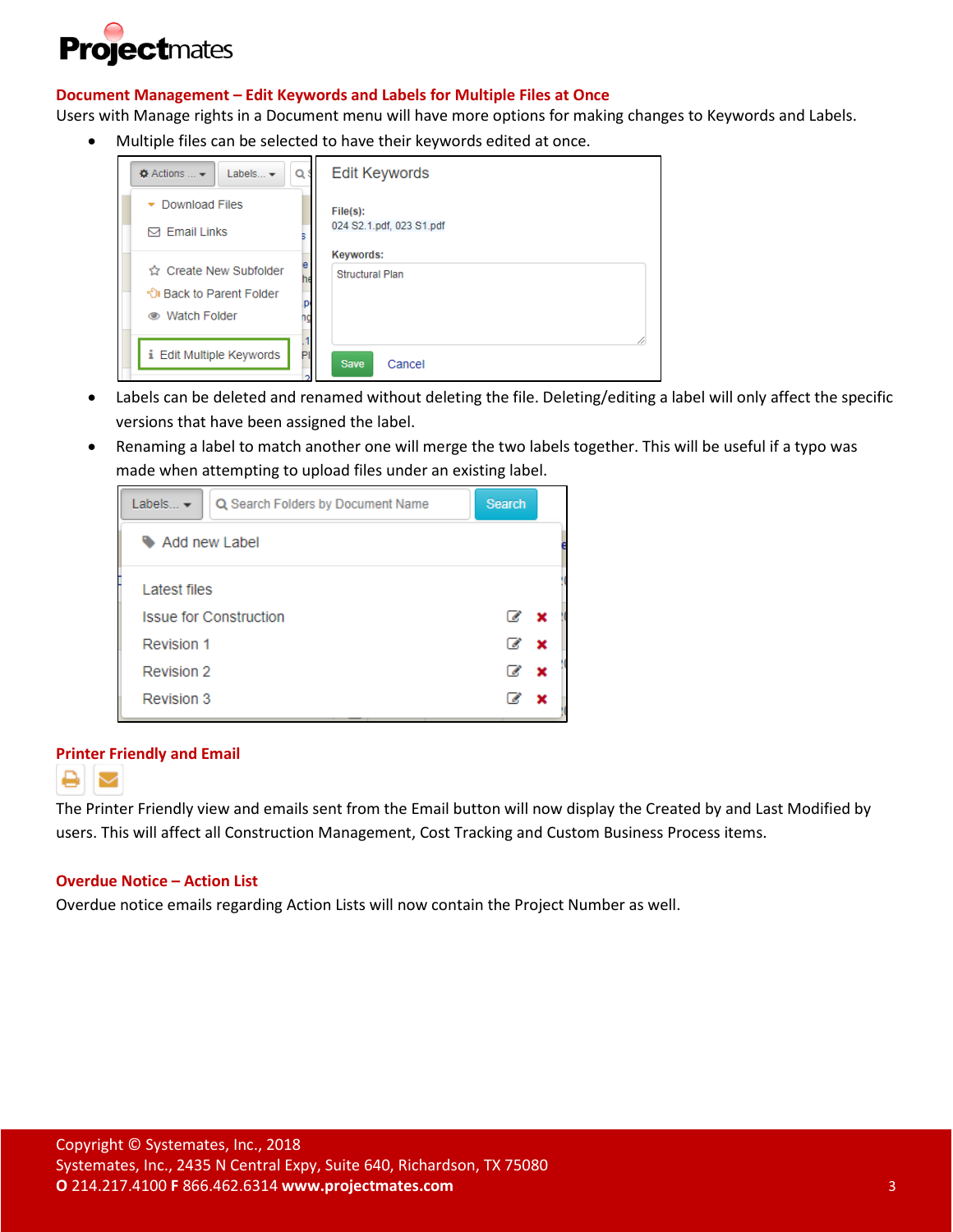

# **Document Management – Edit Keywords and Labels for Multiple Files at Once**

Users with Manage rights in a Document menu will have more options for making changes to Keywords and Labels.

• Multiple files can be selected to have their keywords edited at once.

| Q<br>Labels $\blacktriangleright$<br>$\bullet$ Actions $\bullet$                       | <b>Edit Keywords</b>                       |
|----------------------------------------------------------------------------------------|--------------------------------------------|
| Download Files                                                                         | File(s):                                   |
| $\boxdot$ Email Links                                                                  | 024 S2.1.pdf, 023 S1.pdf                   |
| е<br>☆ Create New Subfolder<br>he<br>ी। Back to Parent Folder<br><b>● Watch Folder</b> | <b>Keywords:</b><br><b>Structural Plan</b> |
| i Edit Multiple Keywords                                                               | <b>Save</b>                                |
| PI                                                                                     | Cancel                                     |

- Labels can be deleted and renamed without deleting the file. Deleting/editing a label will only affect the specific versions that have been assigned the label.
- Renaming a label to match another one will merge the two labels together. This will be useful if a typo was made when attempting to upload files under an existing label.



#### **Printer Friendly and Email**



The Printer Friendly view and emails sent from the Email button will now display the Created by and Last Modified by users. This will affect all Construction Management, Cost Tracking and Custom Business Process items.

#### **Overdue Notice – Action List**

Overdue notice emails regarding Action Lists will now contain the Project Number as well.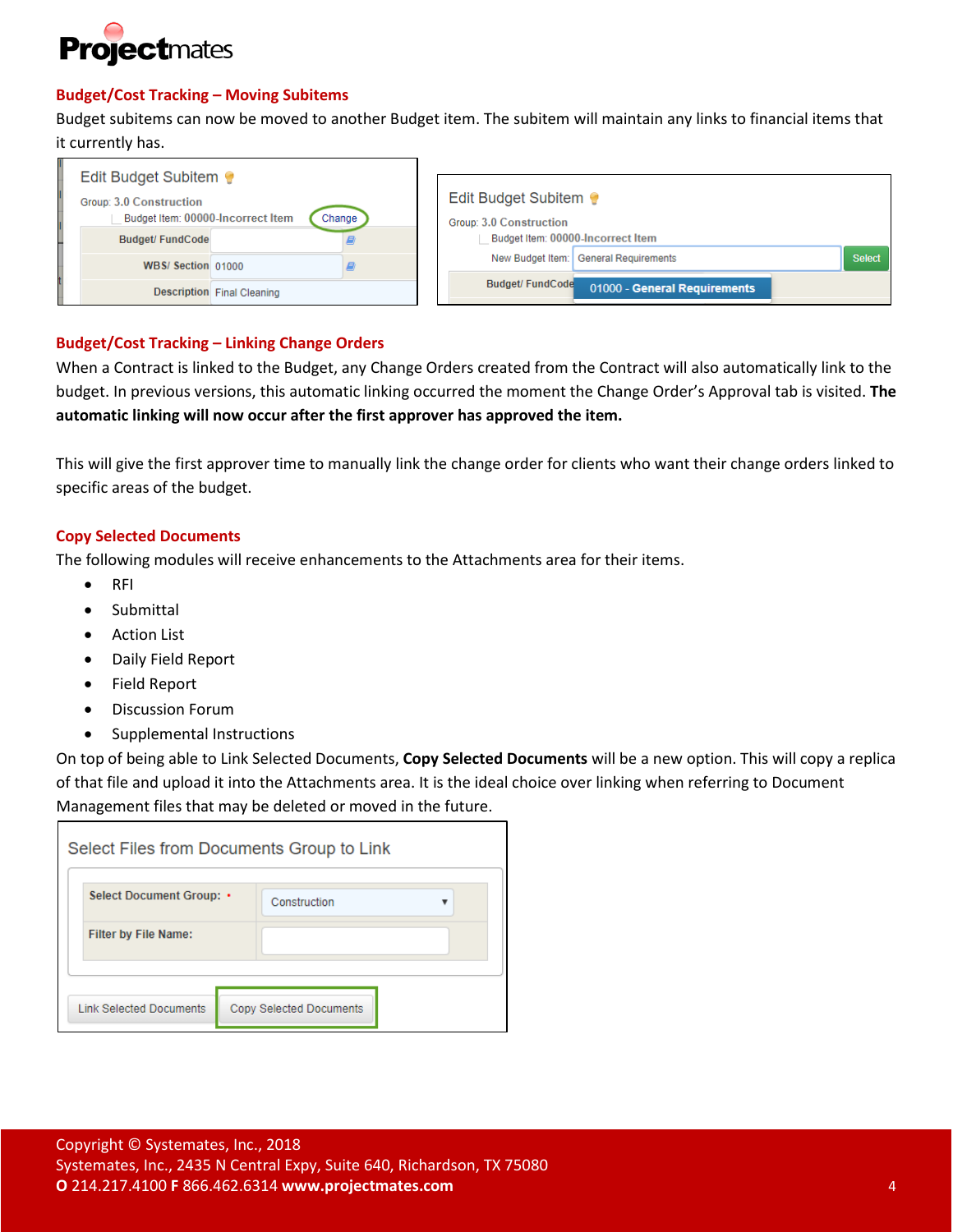

# **Budget/Cost Tracking – Moving Subitems**

Budget subitems can now be moved to another Budget item. The subitem will maintain any links to financial items that it currently has.

| Edit Budget Subitem                                          |                                   |        |                                                       |                              |               |
|--------------------------------------------------------------|-----------------------------------|--------|-------------------------------------------------------|------------------------------|---------------|
| Group: 3.0 Construction<br>Budget Item: 00000-Incorrect Item |                                   | Change | Edit Budget Subitem<br><b>Group: 3.0 Construction</b> |                              |               |
| <b>Budget/FundCode</b>                                       |                                   |        | Budget Item: 00000-Incorrect Item                     |                              |               |
| WBS/ Section 01000                                           |                                   |        | New Budget Item:                                      | <b>General Requirements</b>  | <b>Select</b> |
|                                                              | <b>Description</b> Final Cleaning |        | <b>Budget/FundCode</b>                                | 01000 - General Requirements |               |

# **Budget/Cost Tracking – Linking Change Orders**

When a Contract is linked to the Budget, any Change Orders created from the Contract will also automatically link to the budget. In previous versions, this automatic linking occurred the moment the Change Order's Approval tab is visited. **The automatic linking will now occur after the first approver has approved the item.**

This will give the first approver time to manually link the change order for clients who want their change orders linked to specific areas of the budget.

# **Copy Selected Documents**

The following modules will receive enhancements to the Attachments area for their items.

- RFI
- **Submittal**
- Action List
- Daily Field Report
- Field Report
- Discussion Forum
- Supplemental Instructions

On top of being able to Link Selected Documents, **Copy Selected Documents** will be a new option. This will copy a replica of that file and upload it into the Attachments area. It is the ideal choice over linking when referring to Document Management files that may be deleted or moved in the future.

|                                | Select Files from Documents Group to Link |
|--------------------------------|-------------------------------------------|
| Select Document Group: •       | Construction                              |
| <b>Filter by File Name:</b>    |                                           |
| <b>Link Selected Documents</b> | <b>Copy Selected Documents</b>            |